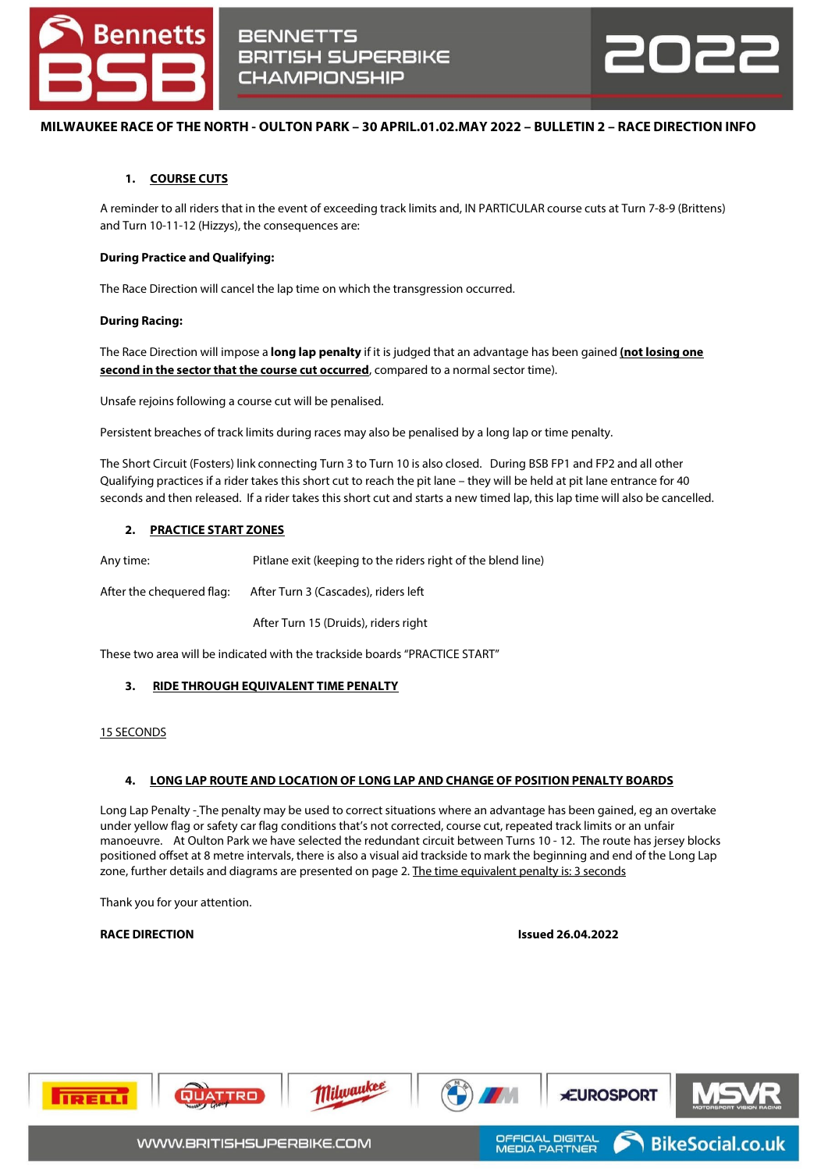



# **MILWAUKEE RACE OF THE NORTH - OULTON PARK – 30 APRIL.01.02.MAY 2022 – BULLETIN 2 – RACE DIRECTION INFO**

## **1. COURSE CUTS**

A reminder to all riders that in the event of exceeding track limits and, IN PARTICULAR course cuts at Turn 7-8-9 (Brittens) and Turn 10-11-12 (Hizzys), the consequences are:

### **During Practice and Qualifying:**

The Race Direction will cancel the lap time on which the transgression occurred.

### **During Racing:**

The Race Direction will impose a **long lap penalty** if it is judged that an advantage has been gained **(not losing one second in the sector that the course cut occurred**, compared to a normal sector time).

Unsafe rejoins following a course cut will be penalised.

Persistent breaches of track limits during races may also be penalised by a long lap or time penalty.

The Short Circuit (Fosters) link connecting Turn 3 to Turn 10 is also closed. During BSB FP1 and FP2 and all other Qualifying practices if a rider takes this short cut to reach the pit lane – they will be held at pit lane entrance for 40 seconds and then released. If a rider takes this short cut and starts a new timed lap, this lap time will also be cancelled.

## **2. PRACTICE START ZONES**

Any time: Pitlane exit (keeping to the riders right of the blend line)

After the chequered flag: After Turn 3 (Cascades), riders left

After Turn 15 (Druids), riders right

These two area will be indicated with the trackside boards "PRACTICE START"

### **3. RIDE THROUGH EQUIVALENT TIME PENALTY**

### 15 SECONDS

### **4. LONG LAP ROUTE AND LOCATION OF LONG LAP AND CHANGE OF POSITION PENALTY BOARDS**

Long Lap Penalty - The penalty may be used to correct situations where an advantage has been gained, eg an overtake under yellow flag or safety car flag conditions that's not corrected, course cut, repeated track limits or an unfair manoeuvre. At Oulton Park we have selected the redundant circuit between Turns 10 - 12. The route has jersey blocks positioned offset at 8 metre intervals, there is also a visual aid trackside to mark the beginning and end of the Long Lap zone, further details and diagrams are presented on page 2. The time equivalent penalty is: 3 seconds

Thank you for your attention.

### **RACE DIRECTION Issued 26.04.2022**